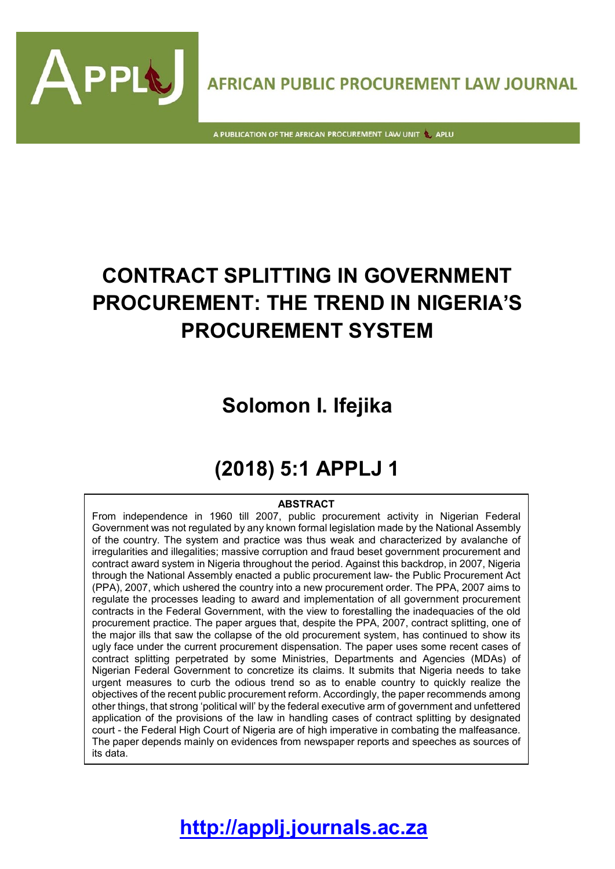

A PUBLICATION OF THE AFRICAN PROCUREMENT LAW UNIT & APLU

APPL

# **CONTRACT SPLITTING IN GOVERNMENT PROCUREMENT: THE TREND IN NIGERIA'S PROCUREMENT SYSTEM**

## **Solomon I. Ifejika**

## **(2018) 5:1 APPLJ 1**

#### **ABSTRACT**

From independence in 1960 till 2007, public procurement activity in Nigerian Federal Government was not regulated by any known formal legislation made by the National Assembly of the country. The system and practice was thus weak and characterized by avalanche of irregularities and illegalities; massive corruption and fraud beset government procurement and contract award system in Nigeria throughout the period. Against this backdrop, in 2007, Nigeria through the National Assembly enacted a public procurement law- the Public Procurement Act (PPA), 2007, which ushered the country into a new procurement order. The PPA, 2007 aims to regulate the processes leading to award and implementation of all government procurement contracts in the Federal Government, with the view to forestalling the inadequacies of the old procurement practice. The paper argues that, despite the PPA, 2007, contract splitting, one of the major ills that saw the collapse of the old procurement system, has continued to show its ugly face under the current procurement dispensation. The paper uses some recent cases of contract splitting perpetrated by some Ministries, Departments and Agencies (MDAs) of Nigerian Federal Government to concretize its claims. It submits that Nigeria needs to take urgent measures to curb the odious trend so as to enable country to quickly realize the objectives of the recent public procurement reform. Accordingly, the paper recommends among other things, that strong 'political will' by the federal executive arm of government and unfettered application of the provisions of the law in handling cases of contract splitting by designated court - the Federal High Court of Nigeria are of high imperative in combating the malfeasance. The paper depends mainly on evidences from newspaper reports and speeches as sources of its data.

## **[http://applj.journals.ac.za](http://applj.journals.ac.za/)**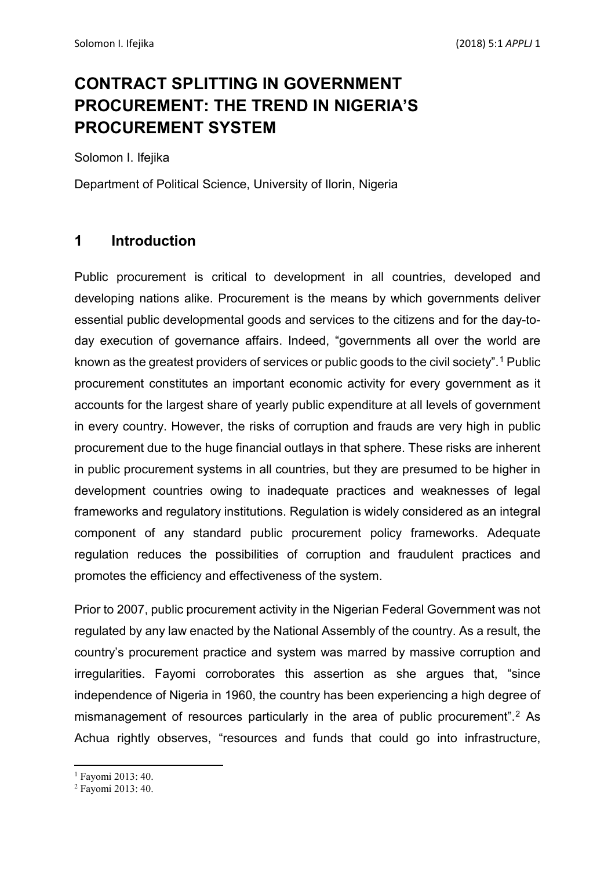## **CONTRACT SPLITTING IN GOVERNMENT PROCUREMENT: THE TREND IN NIGERIA'S PROCUREMENT SYSTEM**

Solomon I. Ifejika

Department of Political Science, University of Ilorin, Nigeria

### **1 Introduction**

Public procurement is critical to development in all countries, developed and developing nations alike. Procurement is the means by which governments deliver essential public developmental goods and services to the citizens and for the day-today execution of governance affairs. Indeed, "governments all over the world are known as the greatest providers of services or public goods to the civil society".[1](#page-1-0) Public procurement constitutes an important economic activity for every government as it accounts for the largest share of yearly public expenditure at all levels of government in every country. However, the risks of corruption and frauds are very high in public procurement due to the huge financial outlays in that sphere. These risks are inherent in public procurement systems in all countries, but they are presumed to be higher in development countries owing to inadequate practices and weaknesses of legal frameworks and regulatory institutions. Regulation is widely considered as an integral component of any standard public procurement policy frameworks. Adequate regulation reduces the possibilities of corruption and fraudulent practices and promotes the efficiency and effectiveness of the system.

Prior to 2007, public procurement activity in the Nigerian Federal Government was not regulated by any law enacted by the National Assembly of the country. As a result, the country's procurement practice and system was marred by massive corruption and irregularities. Fayomi corroborates this assertion as she argues that, "since independence of Nigeria in 1960, the country has been experiencing a high degree of mismanagement of resources particularly in the area of public procurement".<sup>[2](#page-1-1)</sup> As Achua rightly observes, "resources and funds that could go into infrastructure,

<span id="page-1-0"></span><sup>1</sup> Fayomi 2013: 40.

<span id="page-1-1"></span><sup>&</sup>lt;sup>2</sup> Favomi 2013: 40.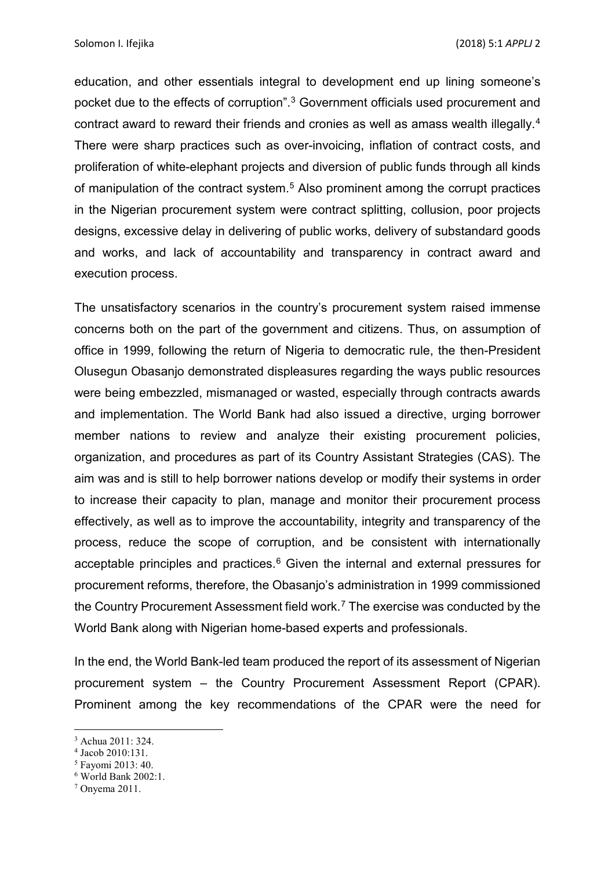education, and other essentials integral to development end up lining someone's pocket due to the effects of corruption". [3](#page-2-0) Government officials used procurement and contract award to reward their friends and cronies as well as amass wealth illegally.[4](#page-2-1) There were sharp practices such as over-invoicing, inflation of contract costs, and proliferation of white-elephant projects and diversion of public funds through all kinds of manipulation of the contract system. [5](#page-2-2) Also prominent among the corrupt practices in the Nigerian procurement system were contract splitting, collusion, poor projects designs, excessive delay in delivering of public works, delivery of substandard goods and works, and lack of accountability and transparency in contract award and execution process.

The unsatisfactory scenarios in the country's procurement system raised immense concerns both on the part of the government and citizens. Thus, on assumption of office in 1999, following the return of Nigeria to democratic rule, the then-President Olusegun Obasanjo demonstrated displeasures regarding the ways public resources were being embezzled, mismanaged or wasted, especially through contracts awards and implementation. The World Bank had also issued a directive, urging borrower member nations to review and analyze their existing procurement policies, organization, and procedures as part of its Country Assistant Strategies (CAS). The aim was and is still to help borrower nations develop or modify their systems in order to increase their capacity to plan, manage and monitor their procurement process effectively, as well as to improve the accountability, integrity and transparency of the process, reduce the scope of corruption, and be consistent with internationally acceptable principles and practices. [6](#page-2-3) Given the internal and external pressures for procurement reforms, therefore, the Obasanjo's administration in 1999 commissioned the Country Procurement Assessment field work. [7](#page-2-4) The exercise was conducted by the World Bank along with Nigerian home-based experts and professionals.

In the end, the World Bank-led team produced the report of its assessment of Nigerian procurement system – the Country Procurement Assessment Report (CPAR). Prominent among the key recommendations of the CPAR were the need for

**.** 

<span id="page-2-0"></span><sup>3</sup> Achua 2011: 324.

<span id="page-2-1"></span><sup>4</sup> Jacob 2010:131.

<span id="page-2-2"></span><sup>5</sup> Fayomi 2013: 40.

<span id="page-2-3"></span><sup>6</sup> World Bank 2002:1.

<span id="page-2-4"></span> $7$  Onvema 2011.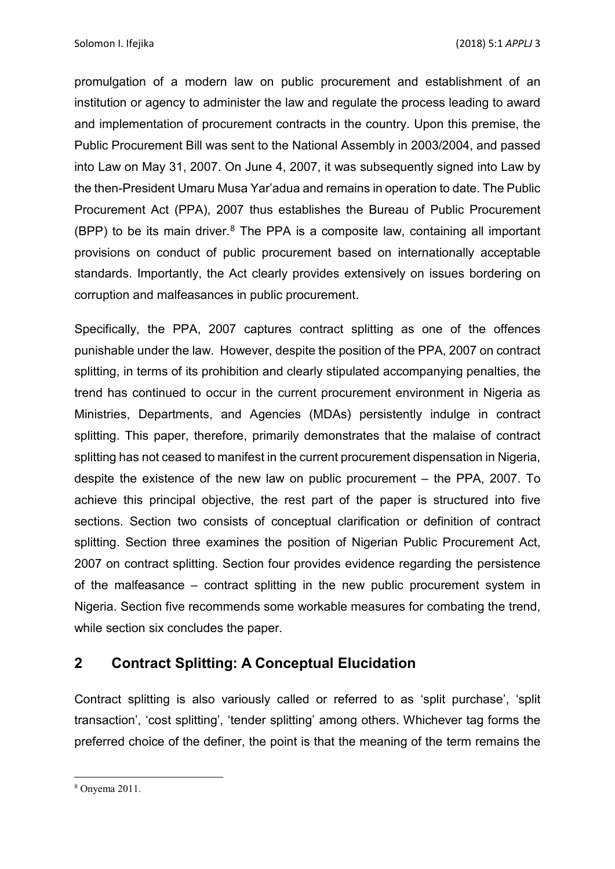promulgation of a modern law on public procurement and establishment of an institution or agency to administer the law and regulate the process leading to award and implementation of procurement contracts in the country. Upon this premise, the Public Procurement Bill was sent to the National Assembly in 2003/2004, and passed into Law on May 31, 2007. On June 4, 2007, it was subsequently signed into Law by the then-President Umaru Musa Yar'adua and remains in operation to date. The Public Procurement Act (PPA), 2007 thus establishes the Bureau of Public Procurement (BPP) to be its main driver. [8](#page-3-0) The PPA is a composite law, containing all important provisions on conduct of public procurement based on internationally acceptable standards. Importantly, the Act clearly provides extensively on issues bordering on corruption and malfeasances in public procurement.

Specifically, the PPA, 2007 captures contract splitting as one of the offences punishable under the law. However, despite the position of the PPA, 2007 on contract splitting, in terms of its prohibition and clearly stipulated accompanying penalties, the trend has continued to occur in the current procurement environment in Nigeria as Ministries, Departments, and Agencies (MDAs) persistently indulge in contract splitting. This paper, therefore, primarily demonstrates that the malaise of contract splitting has not ceased to manifest in the current procurement dispensation in Nigeria, despite the existence of the new law on public procurement – the PPA, 2007. To achieve this principal objective, the rest part of the paper is structured into five sections. Section two consists of conceptual clarification or definition of contract splitting. Section three examines the position of Nigerian Public Procurement Act, 2007 on contract splitting. Section four provides evidence regarding the persistence of the malfeasance – contract splitting in the new public procurement system in Nigeria. Section five recommends some workable measures for combating the trend, while section six concludes the paper.

### **2 Contract Splitting: A Conceptual Elucidation**

Contract splitting is also variously called or referred to as 'split purchase', 'split transaction', 'cost splitting', 'tender splitting' among others. Whichever tag forms the preferred choice of the definer, the point is that the meaning of the term remains the

<span id="page-3-0"></span><sup>8</sup> Onyema 2011.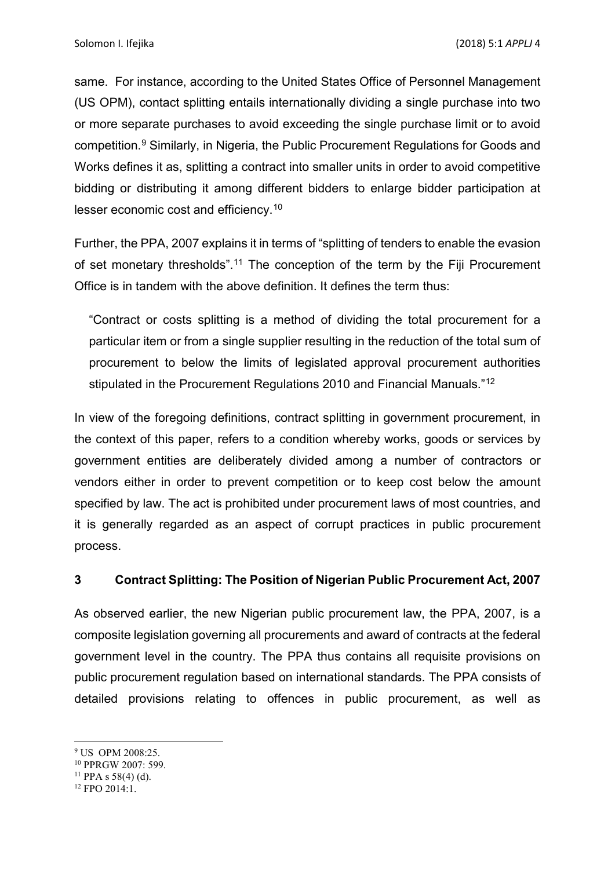same. For instance, according to the United States Office of Personnel Management (US OPM), contact splitting entails internationally dividing a single purchase into two or more separate purchases to avoid exceeding the single purchase limit or to avoid competition.[9](#page-4-0) Similarly, in Nigeria, the Public Procurement Regulations for Goods and Works defines it as, splitting a contract into smaller units in order to avoid competitive bidding or distributing it among different bidders to enlarge bidder participation at lesser economic cost and efficiency.[10](#page-4-1)

Further, the PPA, 2007 explains it in terms of "splitting of tenders to enable the evasion of set monetary thresholds".<sup>[11](#page-4-2)</sup> The conception of the term by the Fiji Procurement Office is in tandem with the above definition. It defines the term thus:

"Contract or costs splitting is a method of dividing the total procurement for a particular item or from a single supplier resulting in the reduction of the total sum of procurement to below the limits of legislated approval procurement authorities stipulated in the Procurement Regulations 2010 and Financial Manuals."[12](#page-4-3)

In view of the foregoing definitions, contract splitting in government procurement, in the context of this paper, refers to a condition whereby works, goods or services by government entities are deliberately divided among a number of contractors or vendors either in order to prevent competition or to keep cost below the amount specified by law. The act is prohibited under procurement laws of most countries, and it is generally regarded as an aspect of corrupt practices in public procurement process.

#### **3 Contract Splitting: The Position of Nigerian Public Procurement Act, 2007**

As observed earlier, the new Nigerian public procurement law, the PPA, 2007, is a composite legislation governing all procurements and award of contracts at the federal government level in the country. The PPA thus contains all requisite provisions on public procurement regulation based on international standards. The PPA consists of detailed provisions relating to offences in public procurement, as well as

<span id="page-4-0"></span><sup>&</sup>lt;sup>9</sup> US OPM 2008:25.

<span id="page-4-1"></span><sup>10</sup> PPRGW 2007: 599.

<span id="page-4-2"></span> $11$  PPA s 58(4) (d).

<span id="page-4-3"></span><sup>12</sup> FPO 2014:1.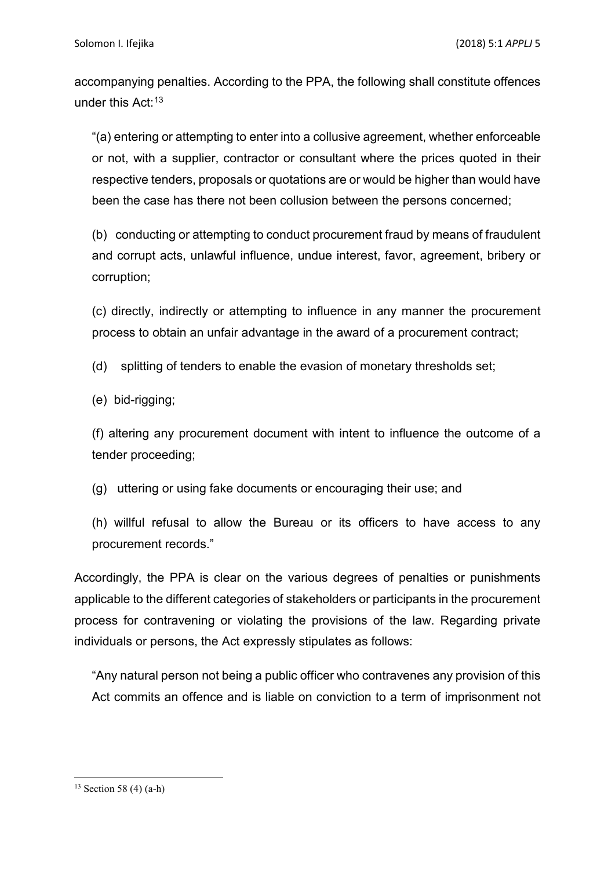accompanying penalties. According to the PPA, the following shall constitute offences under this Act:<sup>[13](#page-5-0)</sup>

"(a) entering or attempting to enter into a collusive agreement, whether enforceable or not, with a supplier, contractor or consultant where the prices quoted in their respective tenders, proposals or quotations are or would be higher than would have been the case has there not been collusion between the persons concerned;

(b) conducting or attempting to conduct procurement fraud by means of fraudulent and corrupt acts, unlawful influence, undue interest, favor, agreement, bribery or corruption;

(c) directly, indirectly or attempting to influence in any manner the procurement process to obtain an unfair advantage in the award of a procurement contract;

(d) splitting of tenders to enable the evasion of monetary thresholds set;

(e) bid-rigging;

(f) altering any procurement document with intent to influence the outcome of a tender proceeding;

(g) uttering or using fake documents or encouraging their use; and

(h) willful refusal to allow the Bureau or its officers to have access to any procurement records."

Accordingly, the PPA is clear on the various degrees of penalties or punishments applicable to the different categories of stakeholders or participants in the procurement process for contravening or violating the provisions of the law. Regarding private individuals or persons, the Act expressly stipulates as follows:

"Any natural person not being a public officer who contravenes any provision of this Act commits an offence and is liable on conviction to a term of imprisonment not

<span id="page-5-0"></span><sup>&</sup>lt;sup>13</sup> Section 58 (4) (a-h)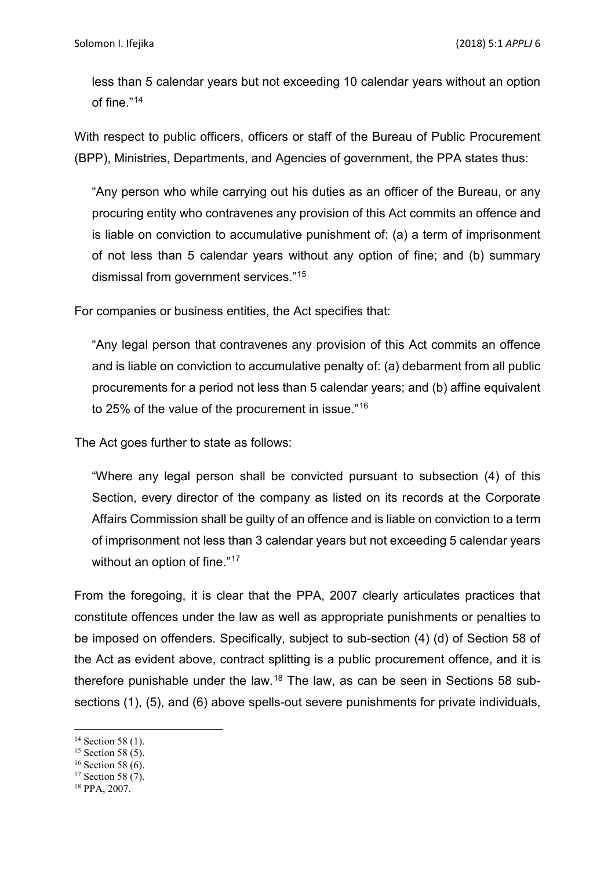less than 5 calendar years but not exceeding 10 calendar years without an option of fine."[14](#page-6-0)

With respect to public officers, officers or staff of the Bureau of Public Procurement (BPP), Ministries, Departments, and Agencies of government, the PPA states thus:

"Any person who while carrying out his duties as an officer of the Bureau, or any procuring entity who contravenes any provision of this Act commits an offence and is liable on conviction to accumulative punishment of: (a) a term of imprisonment of not less than 5 calendar years without any option of fine; and (b) summary dismissal from government services."[15](#page-6-1)

For companies or business entities, the Act specifies that:

"Any legal person that contravenes any provision of this Act commits an offence and is liable on conviction to accumulative penalty of: (a) debarment from all public procurements for a period not less than 5 calendar years; and (b) affine equivalent to 25% of the value of the procurement in issue."[16](#page-6-2)

The Act goes further to state as follows:

"Where any legal person shall be convicted pursuant to subsection (4) of this Section, every director of the company as listed on its records at the Corporate Affairs Commission shall be guilty of an offence and is liable on conviction to a term of imprisonment not less than 3 calendar years but not exceeding 5 calendar years without an option of fine."<sup>[17](#page-6-3)</sup>

From the foregoing, it is clear that the PPA, 2007 clearly articulates practices that constitute offences under the law as well as appropriate punishments or penalties to be imposed on offenders. Specifically, subject to sub-section (4) (d) of Section 58 of the Act as evident above, contract splitting is a public procurement offence, and it is therefore punishable under the law.[18](#page-6-4) The law, as can be seen in Sections 58 subsections (1), (5), and (6) above spells-out severe punishments for private individuals,

- <span id="page-6-2"></span><sup>16</sup> Section 58 (6).
- <span id="page-6-3"></span><sup>17</sup> Section 58 (7).

<span id="page-6-0"></span>**<sup>.</sup>** <sup>14</sup> Section 58 (1).

<span id="page-6-1"></span> $15$  Section 58 (5).

<span id="page-6-4"></span><sup>18</sup> PPA, 2007.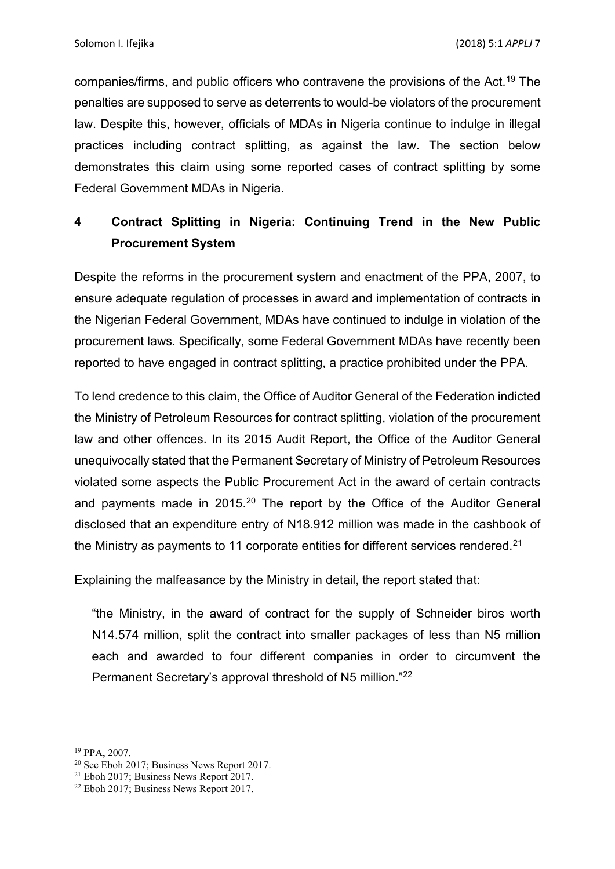companies/firms, and public officers who contravene the provisions of the Act. [19](#page-7-0) The penalties are supposed to serve as deterrents to would-be violators of the procurement law. Despite this, however, officials of MDAs in Nigeria continue to indulge in illegal practices including contract splitting, as against the law. The section below demonstrates this claim using some reported cases of contract splitting by some Federal Government MDAs in Nigeria.

### **4 Contract Splitting in Nigeria: Continuing Trend in the New Public Procurement System**

Despite the reforms in the procurement system and enactment of the PPA, 2007, to ensure adequate regulation of processes in award and implementation of contracts in the Nigerian Federal Government, MDAs have continued to indulge in violation of the procurement laws. Specifically, some Federal Government MDAs have recently been reported to have engaged in contract splitting, a practice prohibited under the PPA.

To lend credence to this claim, the Office of Auditor General of the Federation indicted the Ministry of Petroleum Resources for contract splitting, violation of the procurement law and other offences. In its 2015 Audit Report, the Office of the Auditor General unequivocally stated that the Permanent Secretary of Ministry of Petroleum Resources violated some aspects the Public Procurement Act in the award of certain contracts and payments made in [20](#page-7-1)15.<sup>20</sup> The report by the Office of the Auditor General disclosed that an expenditure entry of N18.912 million was made in the cashbook of the Ministry as payments to 11 corporate entities for different services rendered.<sup>[21](#page-7-2)</sup>

Explaining the malfeasance by the Ministry in detail, the report stated that:

"the Ministry, in the award of contract for the supply of Schneider biros worth N14.574 million, split the contract into smaller packages of less than N5 million each and awarded to four different companies in order to circumvent the Permanent Secretary's approval threshold of N5 million.["22](#page-7-3)

<span id="page-7-0"></span><sup>19</sup> PPA, 2007.

<span id="page-7-1"></span><sup>20</sup> See Eboh 2017; Business News Report 2017.

<span id="page-7-2"></span><sup>21</sup> Eboh 2017; Business News Report 2017.

<span id="page-7-3"></span> $22$  Eboh 2017; Business News Report 2017.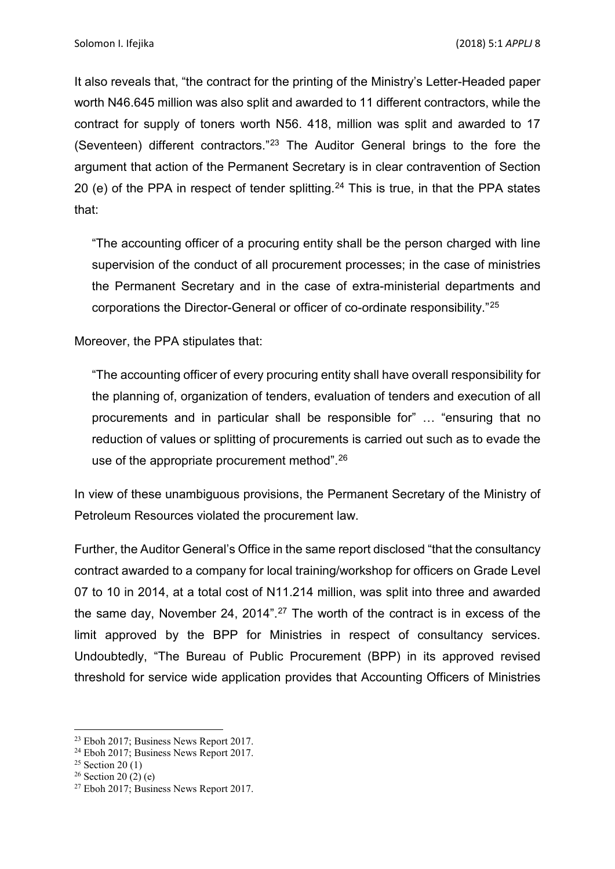It also reveals that, "the contract for the printing of the Ministry's Letter-Headed paper worth N46.645 million was also split and awarded to 11 different contractors, while the contract for supply of toners worth N56. 418, million was split and awarded to 17 (Seventeen) different contractors."[23](#page-8-0) The Auditor General brings to the fore the argument that action of the Permanent Secretary is in clear contravention of Section 20 (e) of the PPA in respect of tender splitting.<sup>[24](#page-8-1)</sup> This is true, in that the PPA states that:

"The accounting officer of a procuring entity shall be the person charged with line supervision of the conduct of all procurement processes; in the case of ministries the Permanent Secretary and in the case of extra-ministerial departments and corporations the Director-General or officer of co-ordinate responsibility."[25](#page-8-2)

Moreover, the PPA stipulates that:

"The accounting officer of every procuring entity shall have overall responsibility for the planning of, organization of tenders, evaluation of tenders and execution of all procurements and in particular shall be responsible for" … "ensuring that no reduction of values or splitting of procurements is carried out such as to evade the use of the appropriate procurement method". $^{26}$  $^{26}$  $^{26}$ 

In view of these unambiguous provisions, the Permanent Secretary of the Ministry of Petroleum Resources violated the procurement law.

Further, the Auditor General's Office in the same report disclosed "that the consultancy contract awarded to a company for local training/workshop for officers on Grade Level 07 to 10 in 2014, at a total cost of N11.214 million, was split into three and awarded the same day, November 24, 2014".<sup>[27](#page-8-4)</sup> The worth of the contract is in excess of the limit approved by the BPP for Ministries in respect of consultancy services. Undoubtedly, "The Bureau of Public Procurement (BPP) in its approved revised threshold for service wide application provides that Accounting Officers of Ministries

**<sup>.</sup>** <sup>23</sup> Eboh 2017; Business News Report 2017.

<span id="page-8-1"></span><span id="page-8-0"></span><sup>24</sup> Eboh 2017; Business News Report 2017.

<span id="page-8-2"></span> $25$  Section 20 (1)

<span id="page-8-3"></span> $26$  Section 20 (2) (e)

<span id="page-8-4"></span><sup>&</sup>lt;sup>27</sup> Eboh 2017; Business News Report 2017.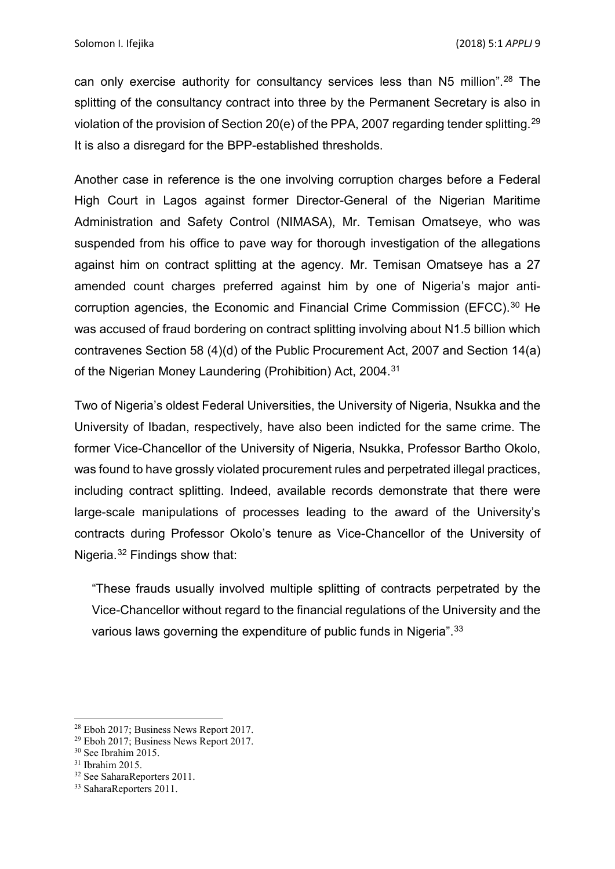can only exercise authority for consultancy services less than N5 million".[28](#page-9-0) The splitting of the consultancy contract into three by the Permanent Secretary is also in violation of the provision of Section 20(e) of the PPA, 2007 regarding tender splitting.[29](#page-9-1) It is also a disregard for the BPP-established thresholds.

Another case in reference is the one involving corruption charges before a Federal High Court in Lagos against former Director-General of the Nigerian Maritime Administration and Safety Control (NIMASA), Mr. Temisan Omatseye, who was suspended from his office to pave way for thorough investigation of the allegations against him on contract splitting at the agency. Mr. Temisan Omatseye has a 27 amended count charges preferred against him by one of Nigeria's major anti-corruption agencies, the Economic and Financial Crime Commission (EFCC).<sup>[30](#page-9-2)</sup> He was accused of fraud bordering on contract splitting involving about N1.5 billion which contravenes Section 58 (4)(d) of the Public Procurement Act, 2007 and Section 14(a) of the Nigerian Money Laundering (Prohibition) Act, 2004.<sup>[31](#page-9-3)</sup>

Two of Nigeria's oldest Federal Universities, the University of Nigeria, Nsukka and the University of Ibadan, respectively, have also been indicted for the same crime. The former Vice-Chancellor of the University of Nigeria, Nsukka, Professor Bartho Okolo, was found to have grossly violated procurement rules and perpetrated illegal practices, including contract splitting. Indeed, available records demonstrate that there were large-scale manipulations of processes leading to the award of the University's contracts during Professor Okolo's tenure as Vice-Chancellor of the University of Nigeria.[32](#page-9-4) Findings show that:

"These frauds usually involved multiple splitting of contracts perpetrated by the Vice-Chancellor without regard to the financial regulations of the University and the various laws governing the expenditure of public funds in Nigeria".<sup>[33](#page-9-5)</sup>

**.** 

<span id="page-9-0"></span><sup>28</sup> Eboh 2017; Business News Report 2017.

<span id="page-9-1"></span><sup>29</sup> Eboh 2017; Business News Report 2017.

<span id="page-9-2"></span><sup>30</sup> See Ibrahim 2015.

<span id="page-9-3"></span><sup>31</sup> Ibrahim 2015.

<span id="page-9-4"></span><sup>32</sup> See SaharaReporters 2011.

<span id="page-9-5"></span><sup>&</sup>lt;sup>33</sup> SaharaReporters 2011.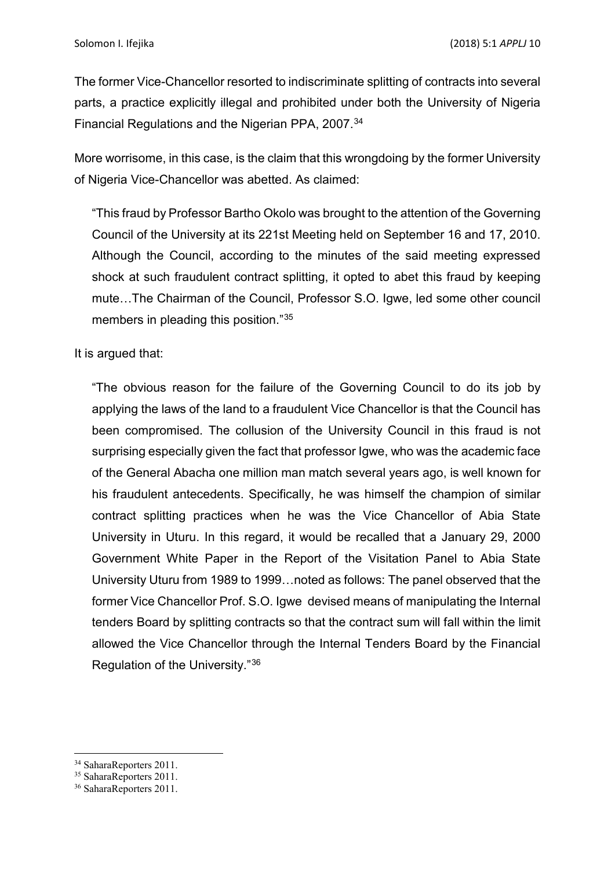The former Vice-Chancellor resorted to indiscriminate splitting of contracts into several parts, a practice explicitly illegal and prohibited under both the University of Nigeria Financial Regulations and the Nigerian PPA, 2007.[34](#page-10-0)

More worrisome, in this case, is the claim that this wrongdoing by the former University of Nigeria Vice-Chancellor was abetted. As claimed:

"This fraud by Professor Bartho Okolo was brought to the attention of the Governing Council of the University at its 221st Meeting held on September 16 and 17, 2010. Although the Council, according to the minutes of the said meeting expressed shock at such fraudulent contract splitting, it opted to abet this fraud by keeping mute…The Chairman of the Council, Professor S.O. Igwe, led some other council members in pleading this position."[35](#page-10-1)

It is argued that:

"The obvious reason for the failure of the Governing Council to do its job by applying the laws of the land to a fraudulent Vice Chancellor is that the Council has been compromised. The collusion of the University Council in this fraud is not surprising especially given the fact that professor Igwe, who was the academic face of the General Abacha one million man match several years ago, is well known for his fraudulent antecedents. Specifically, he was himself the champion of similar contract splitting practices when he was the Vice Chancellor of Abia State University in Uturu. In this regard, it would be recalled that a January 29, 2000 Government White Paper in the Report of the Visitation Panel to Abia State University Uturu from 1989 to 1999…noted as follows: The panel observed that the former Vice Chancellor Prof. S.O. Igwe devised means of manipulating the Internal tenders Board by splitting contracts so that the contract sum will fall within the limit allowed the Vice Chancellor through the Internal Tenders Board by the Financial Regulation of the University."[36](#page-10-2)

**<sup>.</sup>** <sup>34</sup> SaharaReporters 2011.

<span id="page-10-1"></span><span id="page-10-0"></span><sup>&</sup>lt;sup>35</sup> SaharaReporters 2011.

<span id="page-10-2"></span><sup>&</sup>lt;sup>36</sup> SaharaReporters 2011.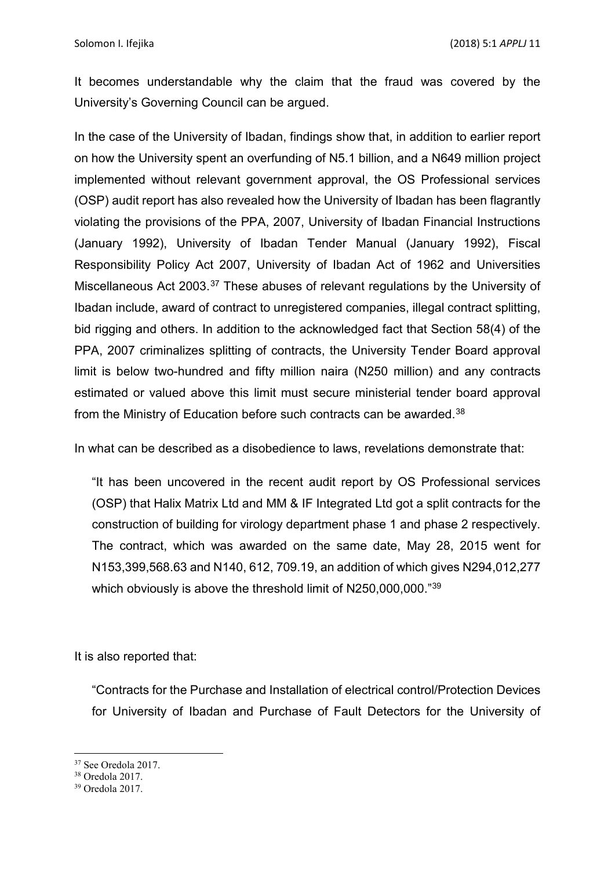It becomes understandable why the claim that the fraud was covered by the University's Governing Council can be argued.

In the case of the University of Ibadan, findings show that, in addition to earlier report on how the University spent an overfunding of N5.1 billion, and a N649 million project implemented without relevant government approval, the OS Professional services (OSP) audit report has also revealed how the University of Ibadan has been flagrantly violating the provisions of the PPA, 2007, University of Ibadan Financial Instructions (January 1992), University of Ibadan Tender Manual (January 1992), Fiscal Responsibility Policy Act 2007, University of Ibadan Act of 1962 and Universities Miscellaneous Act 2003.[37](#page-11-0) These abuses of relevant regulations by the University of Ibadan include, award of contract to unregistered companies, illegal contract splitting, bid rigging and others. In addition to the acknowledged fact that Section 58(4) of the PPA, 2007 criminalizes splitting of contracts, the University Tender Board approval limit is below two-hundred and fifty million naira (N250 million) and any contracts estimated or valued above this limit must secure ministerial tender board approval from the Ministry of Education before such contracts can be awarded.<sup>[38](#page-11-1)</sup>

In what can be described as a disobedience to laws, revelations demonstrate that:

"It has been uncovered in the recent audit report by OS Professional services (OSP) that Halix Matrix Ltd and MM & IF Integrated Ltd got a split contracts for the construction of building for virology department phase 1 and phase 2 respectively. The contract, which was awarded on the same date, May 28, 2015 went for N153,399,568.63 and N140, 612, 709.19, an addition of which gives N294,012,277 which obviously is above the threshold limit of N250,000,000.["39](#page-11-2)

It is also reported that:

"Contracts for the Purchase and Installation of electrical control/Protection Devices for University of Ibadan and Purchase of Fault Detectors for the University of

**.** 

<sup>37</sup> See Oredola 2017.

<span id="page-11-1"></span><span id="page-11-0"></span><sup>38</sup> Oredola 2017.

<span id="page-11-2"></span><sup>39</sup> Oredola 2017.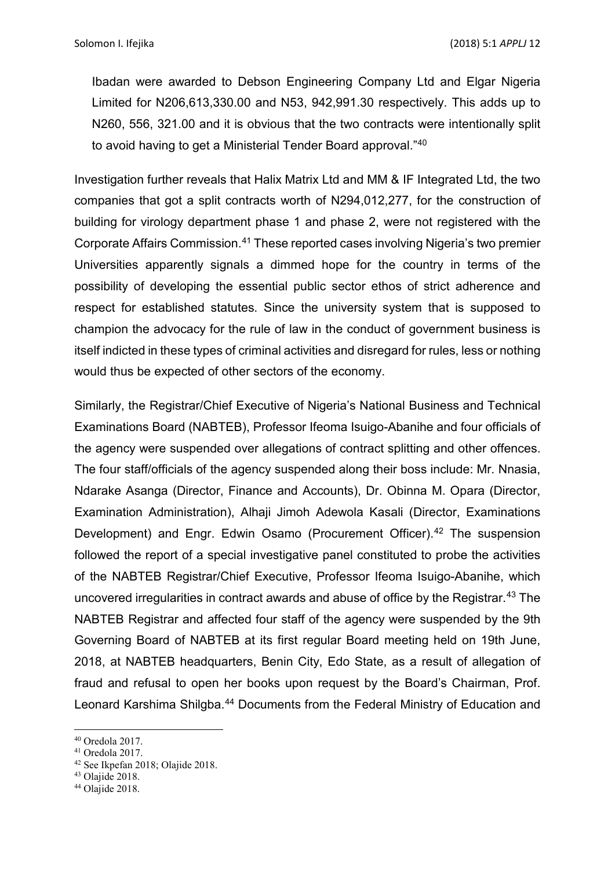Ibadan were awarded to Debson Engineering Company Ltd and Elgar Nigeria Limited for N206,613,330.00 and N53, 942,991.30 respectively. This adds up to N260, 556, 321.00 and it is obvious that the two contracts were intentionally split to avoid having to get a Ministerial Tender Board approval."[40](#page-12-0)

Investigation further reveals that Halix Matrix Ltd and MM & IF Integrated Ltd, the two companies that got a split contracts worth of N294,012,277, for the construction of building for virology department phase 1 and phase 2, were not registered with the Corporate Affairs Commission.[41](#page-12-1) These reported cases involving Nigeria's two premier Universities apparently signals a dimmed hope for the country in terms of the possibility of developing the essential public sector ethos of strict adherence and respect for established statutes. Since the university system that is supposed to champion the advocacy for the rule of law in the conduct of government business is itself indicted in these types of criminal activities and disregard for rules, less or nothing would thus be expected of other sectors of the economy.

Similarly, the Registrar/Chief Executive of Nigeria's National Business and Technical Examinations Board (NABTEB), Professor Ifeoma Isuigo-Abanihe and four officials of the agency were suspended over allegations of contract splitting and other offences. The four staff/officials of the agency suspended along their boss include: Mr. Nnasia, Ndarake Asanga (Director, Finance and Accounts), Dr. Obinna M. Opara (Director, Examination Administration), Alhaji Jimoh Adewola Kasali (Director, Examinations Development) and Engr. Edwin Osamo (Procurement Officer).<sup>[42](#page-12-2)</sup> The suspension followed the report of a special investigative panel constituted to probe the activities of the NABTEB Registrar/Chief Executive, Professor Ifeoma Isuigo-Abanihe, which uncovered irregularities in contract awards and abuse of office by the Registrar.[43](#page-12-3) The NABTEB Registrar and affected four staff of the agency were suspended by the 9th Governing Board of NABTEB at its first regular Board meeting held on 19th June, 2018, at NABTEB headquarters, Benin City, Edo State, as a result of allegation of fraud and refusal to open her books upon request by the Board's Chairman, Prof. Leonard Karshima Shilgba.<sup>[44](#page-12-4)</sup> Documents from the Federal Ministry of Education and

**<sup>.</sup>** <sup>40</sup> Oredola 2017.

<span id="page-12-1"></span><span id="page-12-0"></span><sup>41</sup> Oredola 2017.

<span id="page-12-2"></span><sup>42</sup> See Ikpefan 2018; Olajide 2018.

<span id="page-12-3"></span> $43$  Olaiide 2018.

<span id="page-12-4"></span><sup>&</sup>lt;sup>44</sup> Olajide 2018.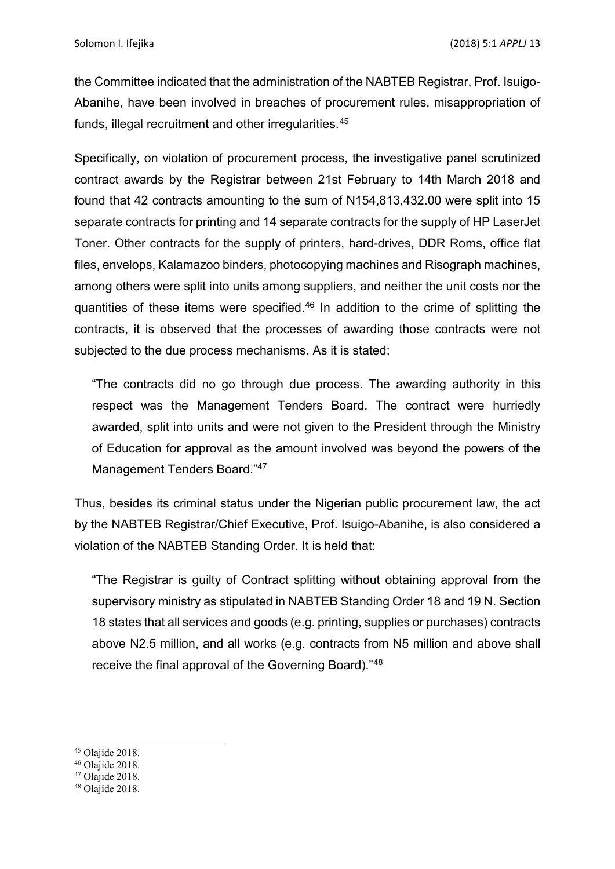the Committee indicated that the administration of the NABTEB Registrar, Prof. Isuigo-Abanihe, have been involved in breaches of procurement rules, misappropriation of funds, illegal recruitment and other irregularities.[45](#page-13-0)

Specifically, on violation of procurement process, the investigative panel scrutinized contract awards by the Registrar between 21st February to 14th March 2018 and found that 42 contracts amounting to the sum of N154,813,432.00 were split into 15 separate contracts for printing and 14 separate contracts for the supply of HP LaserJet Toner. Other contracts for the supply of printers, hard-drives, DDR Roms, office flat files, envelops, Kalamazoo binders, photocopying machines and Risograph machines, among others were split into units among suppliers, and neither the unit costs nor the quantities of these items were specified.[46](#page-13-1) In addition to the crime of splitting the contracts, it is observed that the processes of awarding those contracts were not subjected to the due process mechanisms. As it is stated:

"The contracts did no go through due process. The awarding authority in this respect was the Management Tenders Board. The contract were hurriedly awarded, split into units and were not given to the President through the Ministry of Education for approval as the amount involved was beyond the powers of the Management Tenders Board."[47](#page-13-2)

Thus, besides its criminal status under the Nigerian public procurement law, the act by the NABTEB Registrar/Chief Executive, Prof. Isuigo-Abanihe, is also considered a violation of the NABTEB Standing Order. It is held that:

"The Registrar is guilty of Contract splitting without obtaining approval from the supervisory ministry as stipulated in NABTEB Standing Order 18 and 19 N. Section 18 states that all services and goods (e.g. printing, supplies or purchases) contracts above N2.5 million, and all works (e.g. contracts from N5 million and above shall receive the final approval of the Governing Board)."[48](#page-13-3)

<span id="page-13-0"></span><sup>&</sup>lt;sup>45</sup> Olaiide 2018.

<span id="page-13-1"></span> $46$  Olaiide 2018.

<span id="page-13-2"></span> $47$  Olaiide 2018.

<span id="page-13-3"></span> $48$  Olaiide 2018.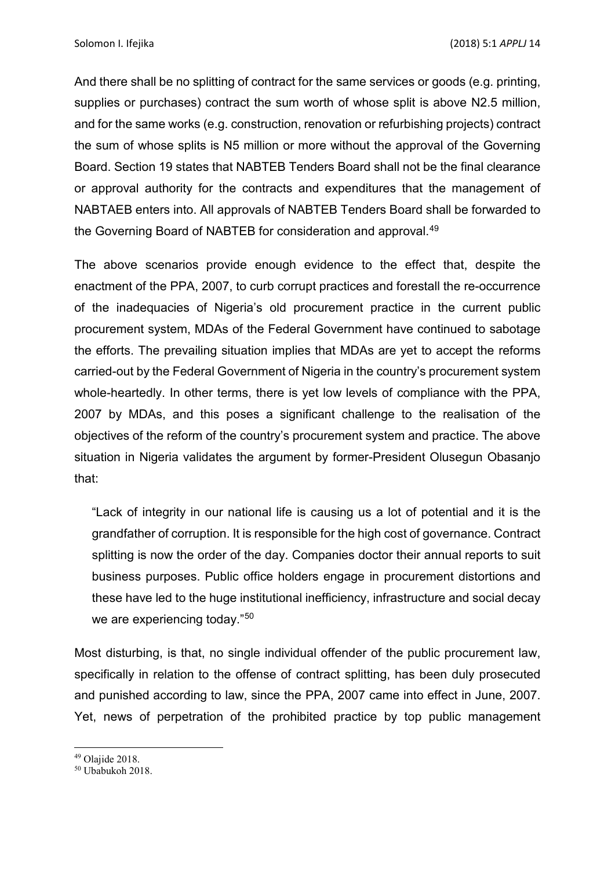And there shall be no splitting of contract for the same services or goods (e.g. printing, supplies or purchases) contract the sum worth of whose split is above N2.5 million, and for the same works (e.g. construction, renovation or refurbishing projects) contract the sum of whose splits is N5 million or more without the approval of the Governing Board. Section 19 states that NABTEB Tenders Board shall not be the final clearance or approval authority for the contracts and expenditures that the management of NABTAEB enters into. All approvals of NABTEB Tenders Board shall be forwarded to the Governing Board of NABTEB for consideration and approval.[49](#page-14-0)

The above scenarios provide enough evidence to the effect that, despite the enactment of the PPA, 2007, to curb corrupt practices and forestall the re-occurrence of the inadequacies of Nigeria's old procurement practice in the current public procurement system, MDAs of the Federal Government have continued to sabotage the efforts. The prevailing situation implies that MDAs are yet to accept the reforms carried-out by the Federal Government of Nigeria in the country's procurement system whole-heartedly. In other terms, there is yet low levels of compliance with the PPA, 2007 by MDAs, and this poses a significant challenge to the realisation of the objectives of the reform of the country's procurement system and practice. The above situation in Nigeria validates the argument by former-President Olusegun Obasanjo that:

"Lack of integrity in our national life is causing us a lot of potential and it is the grandfather of corruption. It is responsible for the high cost of governance. Contract splitting is now the order of the day. Companies doctor their annual reports to suit business purposes. Public office holders engage in procurement distortions and these have led to the huge institutional inefficiency, infrastructure and social decay we are experiencing today."<sup>[50](#page-14-1)</sup>

Most disturbing, is that, no single individual offender of the public procurement law, specifically in relation to the offense of contract splitting, has been duly prosecuted and punished according to law, since the PPA, 2007 came into effect in June, 2007. Yet, news of perpetration of the prohibited practice by top public management

<span id="page-14-0"></span> $\overline{a}$  $49$  Olaiide 2018.

<span id="page-14-1"></span><sup>50</sup> Ubabukoh 2018.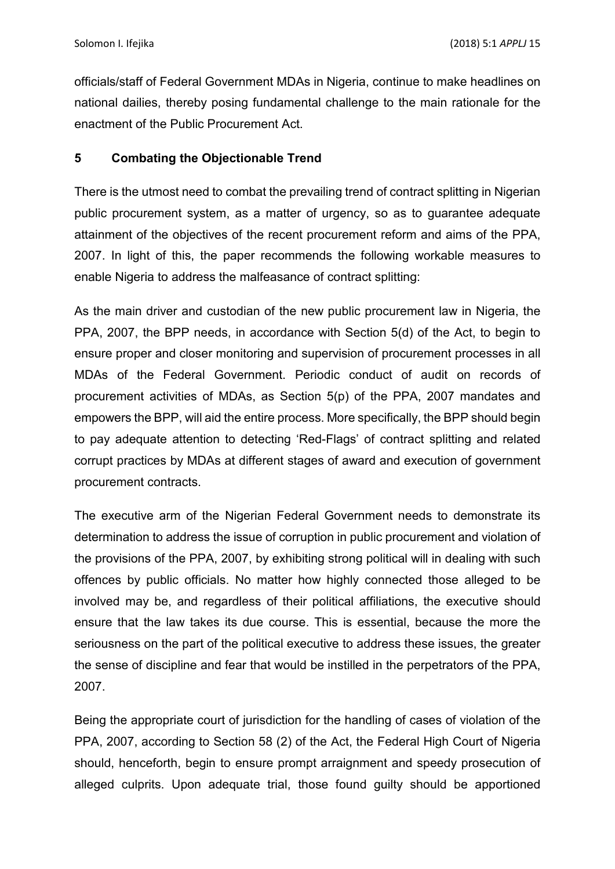officials/staff of Federal Government MDAs in Nigeria, continue to make headlines on national dailies, thereby posing fundamental challenge to the main rationale for the enactment of the Public Procurement Act.

#### **5 Combating the Objectionable Trend**

There is the utmost need to combat the prevailing trend of contract splitting in Nigerian public procurement system, as a matter of urgency, so as to guarantee adequate attainment of the objectives of the recent procurement reform and aims of the PPA, 2007. In light of this, the paper recommends the following workable measures to enable Nigeria to address the malfeasance of contract splitting:

As the main driver and custodian of the new public procurement law in Nigeria, the PPA, 2007, the BPP needs, in accordance with Section 5(d) of the Act, to begin to ensure proper and closer monitoring and supervision of procurement processes in all MDAs of the Federal Government. Periodic conduct of audit on records of procurement activities of MDAs, as Section 5(p) of the PPA, 2007 mandates and empowers the BPP, will aid the entire process. More specifically, the BPP should begin to pay adequate attention to detecting 'Red-Flags' of contract splitting and related corrupt practices by MDAs at different stages of award and execution of government procurement contracts.

The executive arm of the Nigerian Federal Government needs to demonstrate its determination to address the issue of corruption in public procurement and violation of the provisions of the PPA, 2007, by exhibiting strong political will in dealing with such offences by public officials. No matter how highly connected those alleged to be involved may be, and regardless of their political affiliations, the executive should ensure that the law takes its due course. This is essential, because the more the seriousness on the part of the political executive to address these issues, the greater the sense of discipline and fear that would be instilled in the perpetrators of the PPA, 2007.

Being the appropriate court of jurisdiction for the handling of cases of violation of the PPA, 2007, according to Section 58 (2) of the Act, the Federal High Court of Nigeria should, henceforth, begin to ensure prompt arraignment and speedy prosecution of alleged culprits. Upon adequate trial, those found guilty should be apportioned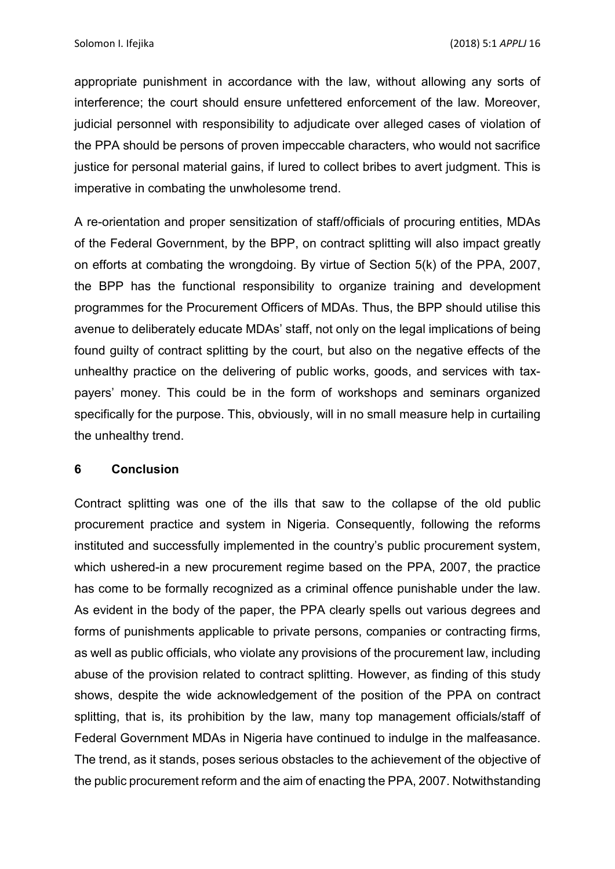appropriate punishment in accordance with the law, without allowing any sorts of interference; the court should ensure unfettered enforcement of the law. Moreover, judicial personnel with responsibility to adjudicate over alleged cases of violation of the PPA should be persons of proven impeccable characters, who would not sacrifice justice for personal material gains, if lured to collect bribes to avert judgment. This is imperative in combating the unwholesome trend.

A re-orientation and proper sensitization of staff/officials of procuring entities, MDAs of the Federal Government, by the BPP, on contract splitting will also impact greatly on efforts at combating the wrongdoing. By virtue of Section 5(k) of the PPA, 2007, the BPP has the functional responsibility to organize training and development programmes for the Procurement Officers of MDAs. Thus, the BPP should utilise this avenue to deliberately educate MDAs' staff, not only on the legal implications of being found guilty of contract splitting by the court, but also on the negative effects of the unhealthy practice on the delivering of public works, goods, and services with taxpayers' money. This could be in the form of workshops and seminars organized specifically for the purpose. This, obviously, will in no small measure help in curtailing the unhealthy trend.

#### **6 Conclusion**

Contract splitting was one of the ills that saw to the collapse of the old public procurement practice and system in Nigeria. Consequently, following the reforms instituted and successfully implemented in the country's public procurement system, which ushered-in a new procurement regime based on the PPA, 2007, the practice has come to be formally recognized as a criminal offence punishable under the law. As evident in the body of the paper, the PPA clearly spells out various degrees and forms of punishments applicable to private persons, companies or contracting firms, as well as public officials, who violate any provisions of the procurement law, including abuse of the provision related to contract splitting. However, as finding of this study shows, despite the wide acknowledgement of the position of the PPA on contract splitting, that is, its prohibition by the law, many top management officials/staff of Federal Government MDAs in Nigeria have continued to indulge in the malfeasance. The trend, as it stands, poses serious obstacles to the achievement of the objective of the public procurement reform and the aim of enacting the PPA, 2007. Notwithstanding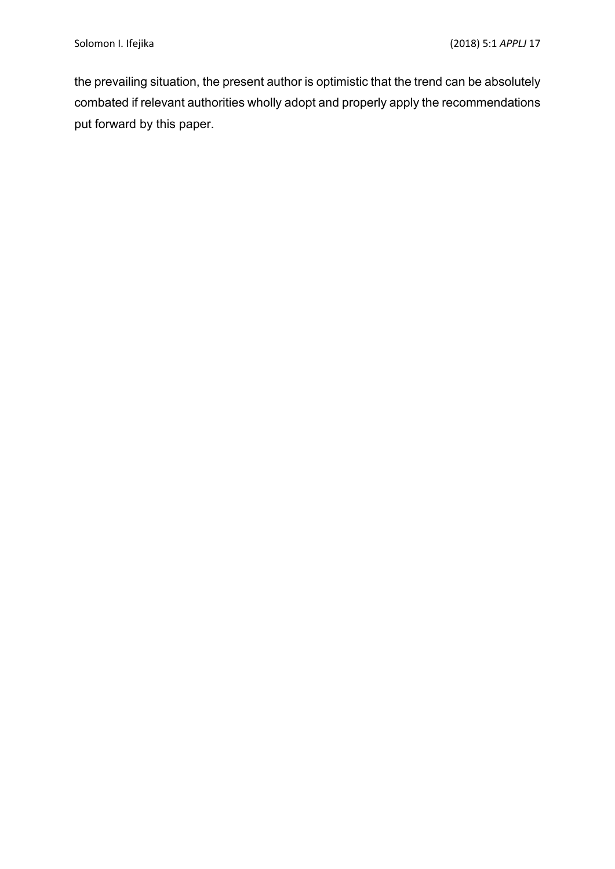the prevailing situation, the present author is optimistic that the trend can be absolutely combated if relevant authorities wholly adopt and properly apply the recommendations put forward by this paper.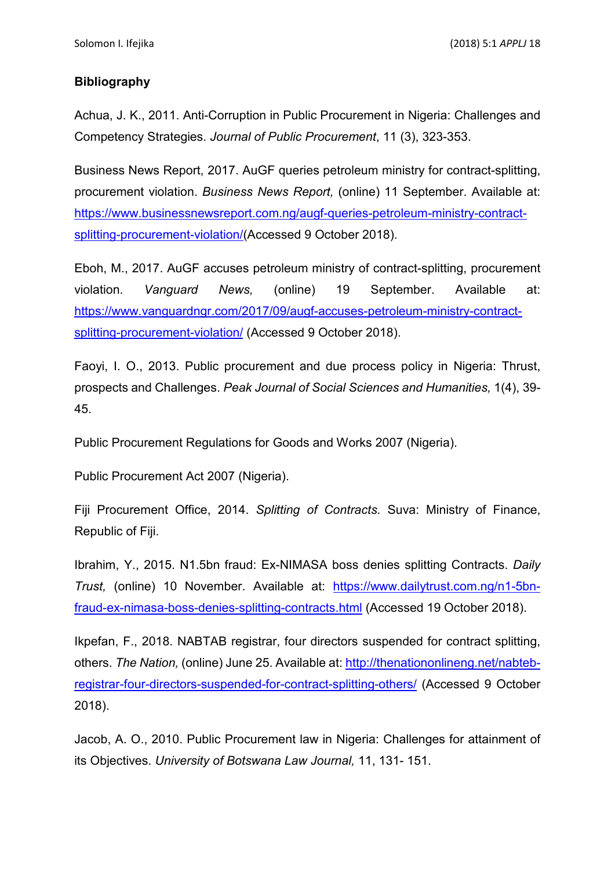### **Bibliography**

Achua, J. K., 2011. Anti-Corruption in Public Procurement in Nigeria: Challenges and Competency Strategies. *Journal of Public Procurement*, 11 (3), 323-353.

Business News Report, 2017. AuGF queries petroleum ministry for contract-splitting, procurement violation. *Business News Report,* (online) 11 September. Available at: [https://www.businessnewsreport.com.ng/augf-queries-petroleum-ministry-contract](https://www.businessnewsreport.com.ng/augf-queries-petroleum-ministry-contract-splitting-procurement-violation/)[splitting-procurement-violation/\(](https://www.businessnewsreport.com.ng/augf-queries-petroleum-ministry-contract-splitting-procurement-violation/)Accessed 9 October 2018).

Eboh, M., 2017. AuGF accuses petroleum ministry of contract-splitting, procurement violation. *Vanguard News,* (online) 19 September. Available at: [https://www.vanguardngr.com/2017/09/augf-accuses-petroleum-ministry-contract](https://www.vanguardngr.com/2017/09/augf-accuses-petroleum-ministry-contract-splitting-procurement-violation/)[splitting-procurement-violation/](https://www.vanguardngr.com/2017/09/augf-accuses-petroleum-ministry-contract-splitting-procurement-violation/) (Accessed 9 October 2018).

Faoyi, I. O., 2013. Public procurement and due process policy in Nigeria: Thrust, prospects and Challenges. *Peak Journal of Social Sciences and Humanities,* 1(4), 39- 45.

Public Procurement Regulations for Goods and Works 2007 (Nigeria).

Public Procurement Act 2007 (Nigeria).

Fiji Procurement Office, 2014. *Splitting of Contracts.* Suva: Ministry of Finance, Republic of Fiji.

Ibrahim, Y., 2015. N1.5bn fraud: Ex-NIMASA boss denies splitting Contracts. *Daily Trust,* (online) 10 November. Available at: [https://www.dailytrust.com.ng/n1-5bn](https://www.dailytrust.com.ng/n1-5bn-fraud-ex-nimasa-boss-denies-splitting-contracts.html)[fraud-ex-nimasa-boss-denies-splitting-contracts.html](https://www.dailytrust.com.ng/n1-5bn-fraud-ex-nimasa-boss-denies-splitting-contracts.html) (Accessed 19 October 2018).

Ikpefan, F., 2018. NABTAB registrar, four directors suspended for contract splitting, others. *The Nation,* (online) June 25. Available at: [http://thenationonlineng.net/nabteb](http://thenationonlineng.net/nabteb-registrar-four-directors-suspended-for-contract-splitting-others/)[registrar-four-directors-suspended-for-contract-splitting-others/](http://thenationonlineng.net/nabteb-registrar-four-directors-suspended-for-contract-splitting-others/) (Accessed 9 October 2018).

Jacob, A. O., 2010. Public Procurement law in Nigeria: Challenges for attainment of its Objectives. *University of Botswana Law Journal,* 11, 131- 151.